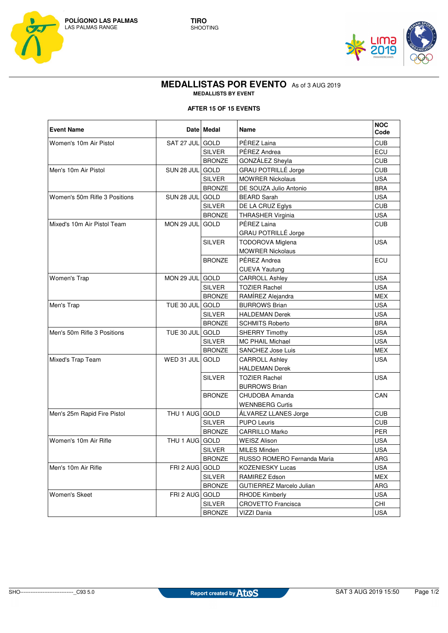



## **MEDALLISTAS POR EVENTO** As of 3 AUG 2019 **MEDALLISTS BY EVENT**

## **AFTER 15 OF 15 EVENTS**

| <b>Event Name</b>             |                 | Date Medal    | Name                        | <b>NOC</b><br>Code |
|-------------------------------|-----------------|---------------|-----------------------------|--------------------|
| Women's 10m Air Pistol        | SAT 27 JUL GOLD |               | PÉREZ Laina                 | <b>CUB</b>         |
|                               |                 | <b>SILVER</b> | PÉREZ Andrea                | ECU                |
|                               |                 | <b>BRONZE</b> | GONZÁLEZ Sheyla             | <b>CUB</b>         |
| Men's 10m Air Pistol          | SUN 28 JUL GOLD |               | <b>GRAU POTRILLÉ Jorge</b>  | <b>CUB</b>         |
|                               |                 | <b>SILVER</b> | <b>MOWRER Nickolaus</b>     | <b>USA</b>         |
|                               |                 | <b>BRONZE</b> | DE SOUZA Julio Antonio      | <b>BRA</b>         |
| Women's 50m Rifle 3 Positions | SUN 28 JUL GOLD |               | <b>BEARD Sarah</b>          | <b>USA</b>         |
|                               |                 | <b>SILVER</b> | DE LA CRUZ Eglys            | <b>CUB</b>         |
|                               |                 | <b>BRONZE</b> | <b>THRASHER Virginia</b>    | <b>USA</b>         |
| Mixed's 10m Air Pistol Team   | MON 29 JUL      | <b>GOLD</b>   | PÉREZ Laina                 | <b>CUB</b>         |
|                               |                 |               | GRAU POTRILLÉ Jorge         |                    |
|                               |                 | <b>SILVER</b> | <b>TODOROVA Miglena</b>     | <b>USA</b>         |
|                               |                 |               | <b>MOWRER Nickolaus</b>     |                    |
|                               |                 | <b>BRONZE</b> | PÉREZ Andrea                | ECU                |
|                               |                 |               | <b>CUEVA Yautung</b>        |                    |
| Women's Trap                  | MON 29 JUL GOLD |               | <b>CARROLL Ashley</b>       | <b>USA</b>         |
|                               |                 | SILVER        | <b>TOZIER Rachel</b>        | <b>USA</b>         |
|                               |                 | <b>BRONZE</b> | RAMÍREZ Alejandra           | <b>MEX</b>         |
| Men's Trap                    | TUE 30 JUL GOLD |               | <b>BURROWS Brian</b>        | <b>USA</b>         |
|                               |                 | <b>SILVER</b> | <b>HALDEMAN Derek</b>       | <b>USA</b>         |
|                               |                 | <b>BRONZE</b> | <b>SCHMITS Roberto</b>      | <b>BRA</b>         |
| Men's 50m Rifle 3 Positions   | TUE 30 JUL GOLD |               | <b>SHERRY Timothy</b>       | <b>USA</b>         |
|                               |                 | <b>SILVER</b> | <b>MC PHAIL Michael</b>     | <b>USA</b>         |
|                               |                 | <b>BRONZE</b> | SANCHEZ Jose Luis           | <b>MEX</b>         |
| Mixed's Trap Team             | WED 31 JUL      | <b>GOLD</b>   | <b>CARROLL Ashley</b>       | <b>USA</b>         |
|                               |                 |               | HALDEMAN Derek              |                    |
|                               |                 | <b>SILVER</b> | <b>TOZIER Rachel</b>        | <b>USA</b>         |
|                               |                 |               | <b>BURROWS Brian</b>        |                    |
|                               |                 | <b>BRONZE</b> | CHUDOBA Amanda              | CAN                |
|                               |                 |               | <b>WENNBERG Curtis</b>      |                    |
| Men's 25m Rapid Fire Pistol   | THU 1 AUG GOLD  |               | ALVAREZ LLANES Jorge        | <b>CUB</b>         |
|                               |                 | <b>SILVER</b> | <b>PUPO Leuris</b>          | <b>CUB</b>         |
|                               |                 | <b>BRONZE</b> | <b>CARRILLO Marko</b>       | PER                |
| Women's 10m Air Rifle         | THU 1 AUG GOLD  |               | <b>WEISZ Alison</b>         | <b>USA</b>         |
|                               |                 | <b>SILVER</b> | <b>MILES Minden</b>         | <b>USA</b>         |
|                               |                 | <b>BRONZE</b> | RUSSO ROMERO Fernanda Maria | ARG                |
| Men's 10m Air Rifle           | FRI 2 AUG GOLD  |               | <b>KOZENIESKY Lucas</b>     | <b>USA</b>         |
|                               |                 | <b>SILVER</b> | RAMIREZ Edson               | MEX                |
|                               |                 | <b>BRONZE</b> | GUTIERREZ Marcelo Julian    | ARG                |
| Women's Skeet                 | FRI 2 AUG GOLD  |               | <b>RHODE Kimberly</b>       | <b>USA</b>         |
|                               |                 | <b>SILVER</b> | <b>CROVETTO Francisca</b>   | CHI                |
|                               |                 | <b>BRONZE</b> | VIZZI Dania                 | <b>USA</b>         |